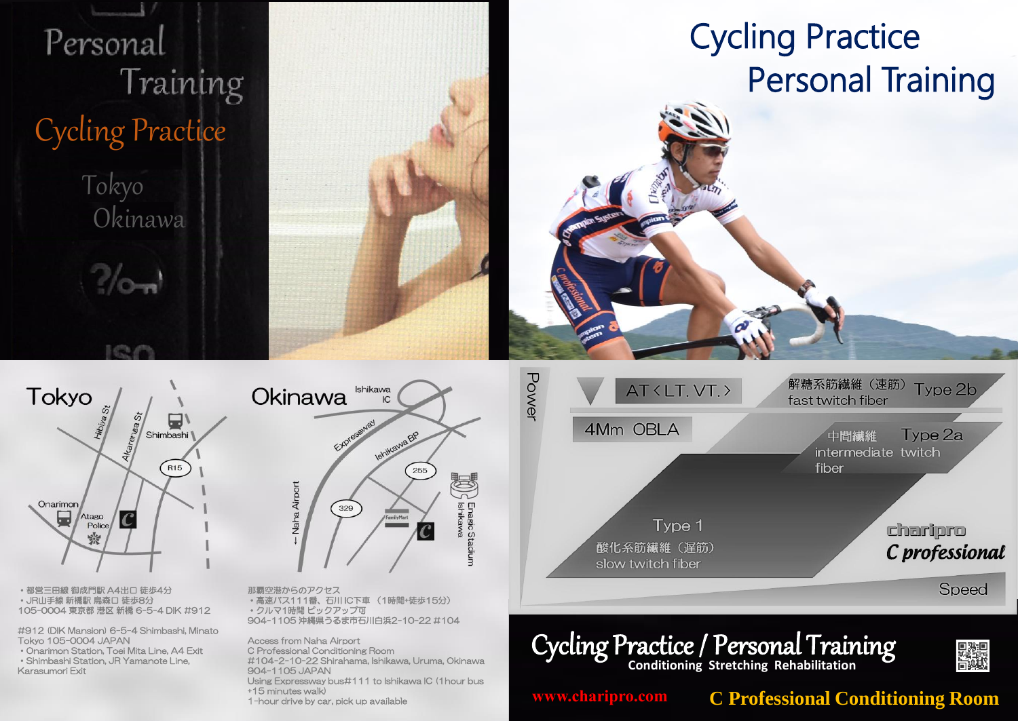

904-1105 JAPAN Using Expressway bus#111 to Ishikawa IC (1hour bus Karasumori Exit

+15 minutes walk)

1-hour drive by car, pick up available

**www.charipro.com**

**C Professional Conditioning Room**